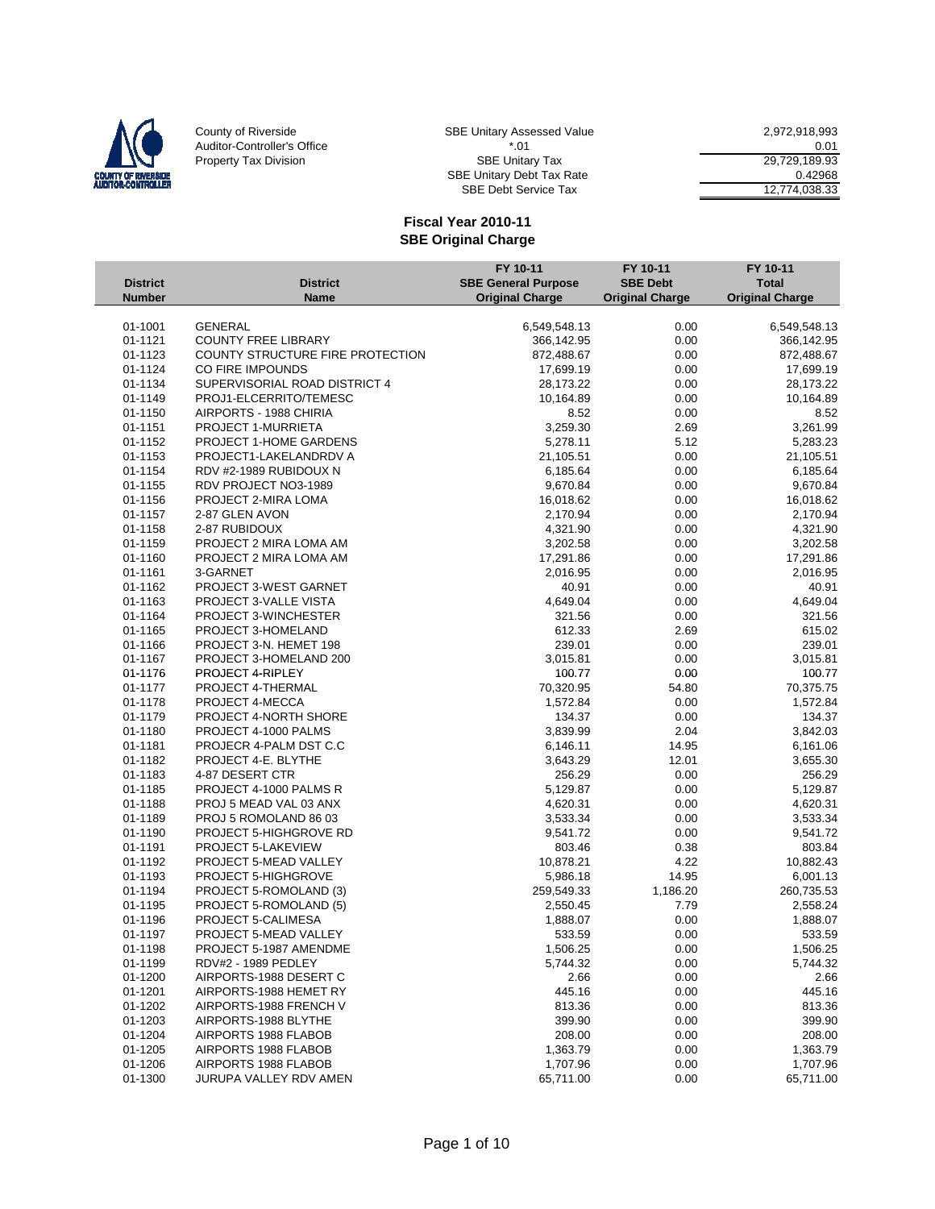

County of Riverside SBE Unitary Assessed Value 2,972,918,993<br>Auditor-Controller's Office 50 1 2972,918,993<br>Property Tax Division SBE Unitary Tax 39,729,189.93 Auditor-Controller's Office  $10.01$   $10.01$   $10.01$   $10.01$   $10.01$   $10.01$   $10.01$   $10.01$   $10.01$   $10.01$   $10.01$   $10.01$   $10.01$   $10.01$   $10.01$   $10.01$   $10.01$   $10.01$   $10.01$   $10.01$   $10.01$   $10.01$   $10.01$   $10.01$   $1$ Property Tax Division North Christian Section Section Section Section Section Section Section 29,729,189.93 SBE Unitary Debt Tax Rate 0.42968

SBE Debt Service Tax 12,774,038.33

|                    |                                                  | FY 10-11                   | FY 10-11               | FY 10-11               |
|--------------------|--------------------------------------------------|----------------------------|------------------------|------------------------|
| <b>District</b>    | <b>District</b>                                  | <b>SBE General Purpose</b> | <b>SBE Debt</b>        | <b>Total</b>           |
| <b>Number</b>      | <b>Name</b>                                      | <b>Original Charge</b>     | <b>Original Charge</b> | <b>Original Charge</b> |
| 01-1001            | <b>GENERAL</b>                                   | 6,549,548.13               | 0.00                   | 6,549,548.13           |
| 01-1121            | <b>COUNTY FREE LIBRARY</b>                       | 366,142.95                 | 0.00                   | 366,142.95             |
| 01-1123            | COUNTY STRUCTURE FIRE PROTECTION                 | 872,488.67                 | 0.00                   | 872,488.67             |
| 01-1124            | CO FIRE IMPOUNDS                                 | 17,699.19                  | 0.00                   | 17,699.19              |
| 01-1134            | SUPERVISORIAL ROAD DISTRICT 4                    | 28,173.22                  | 0.00                   | 28,173.22              |
| 01-1149            | PROJ1-ELCERRITO/TEMESC                           | 10,164.89                  | 0.00                   | 10,164.89              |
| 01-1150            | AIRPORTS - 1988 CHIRIA                           | 8.52                       | 0.00                   | 8.52                   |
| 01-1151            | PROJECT 1-MURRIETA                               | 3,259.30                   | 2.69                   | 3,261.99               |
| 01-1152            | PROJECT 1-HOME GARDENS                           | 5,278.11                   | 5.12                   | 5,283.23               |
| 01-1153            | PROJECT1-LAKELANDRDV A                           | 21,105.51                  | 0.00                   | 21,105.51              |
| 01-1154            | RDV #2-1989 RUBIDOUX N                           | 6,185.64                   | 0.00                   | 6,185.64               |
| 01-1155            | RDV PROJECT NO3-1989                             | 9,670.84                   | 0.00                   | 9,670.84               |
| 01-1156            | PROJECT 2-MIRA LOMA                              | 16,018.62                  | 0.00                   | 16,018.62              |
| 01-1157            | 2-87 GLEN AVON                                   | 2,170.94                   | 0.00                   | 2,170.94               |
| 01-1158            | 2-87 RUBIDOUX                                    | 4,321.90                   | 0.00                   | 4,321.90               |
| 01-1159            | PROJECT 2 MIRA LOMA AM                           | 3,202.58                   | 0.00                   | 3,202.58               |
| 01-1160            | PROJECT 2 MIRA LOMA AM                           | 17,291.86                  | 0.00                   | 17,291.86              |
| 01-1161            | 3-GARNET                                         | 2,016.95                   | 0.00                   | 2,016.95               |
| 01-1162            | PROJECT 3-WEST GARNET                            | 40.91                      | 0.00                   | 40.91                  |
| 01-1163            | PROJECT 3-VALLE VISTA                            | 4,649.04                   | 0.00                   | 4,649.04               |
| 01-1164            | PROJECT 3-WINCHESTER                             | 321.56                     | 0.00                   | 321.56                 |
| 01-1165            | PROJECT 3-HOMELAND                               | 612.33                     | 2.69                   | 615.02                 |
| 01-1166            | PROJECT 3-N. HEMET 198                           | 239.01                     | 0.00                   | 239.01                 |
| 01-1167            | PROJECT 3-HOMELAND 200                           | 3,015.81                   | 0.00                   | 3,015.81               |
| 01-1176            | PROJECT 4-RIPLEY                                 | 100.77                     | 0.00                   | 100.77                 |
| 01-1177            | PROJECT 4-THERMAL                                | 70,320.95                  | 54.80                  | 70,375.75              |
| 01-1178            | PROJECT 4-MECCA                                  | 1,572.84                   | 0.00                   | 1,572.84               |
| 01-1179            | PROJECT 4-NORTH SHORE                            | 134.37                     | 0.00                   | 134.37                 |
| 01-1180            | PROJECT 4-1000 PALMS                             | 3,839.99                   | 2.04                   | 3,842.03               |
| 01-1181            | PROJECR 4-PALM DST C.C                           | 6,146.11                   | 14.95                  | 6,161.06               |
| 01-1182            | PROJECT 4-E. BLYTHE                              | 3,643.29                   | 12.01                  | 3,655.30               |
| 01-1183            | 4-87 DESERT CTR                                  | 256.29                     | 0.00                   | 256.29                 |
| 01-1185            | PROJECT 4-1000 PALMS R                           | 5,129.87                   | 0.00                   | 5,129.87               |
| 01-1188            | PROJ 5 MEAD VAL 03 ANX                           | 4,620.31                   | 0.00                   | 4,620.31               |
| 01-1189            | PROJ 5 ROMOLAND 86 03                            | 3,533.34                   | 0.00                   | 3,533.34               |
| 01-1190            | <b>PROJECT 5-HIGHGROVE RD</b>                    | 9,541.72                   | 0.00                   | 9,541.72               |
| 01-1191            | PROJECT 5-LAKEVIEW                               | 803.46                     | 0.38                   | 803.84                 |
| 01-1192            | PROJECT 5-MEAD VALLEY                            | 10,878.21                  | 4.22                   | 10,882.43              |
| 01-1193            | <b>PROJECT 5-HIGHGROVE</b>                       | 5,986.18                   | 14.95                  | 6,001.13               |
| 01-1194            | PROJECT 5-ROMOLAND (3)                           | 259,549.33                 | 1,186.20               | 260,735.53             |
| 01-1195            | PROJECT 5-ROMOLAND (5)                           | 2,550.45                   | 7.79                   | 2,558.24               |
| 01-1196            | PROJECT 5-CALIMESA                               | 1,888.07                   | 0.00                   | 1,888.07               |
| 01-1197            | PROJECT 5-MEAD VALLEY                            | 533.59                     | 0.00                   | 533.59                 |
| 01-1198            | PROJECT 5-1987 AMENDME                           | 1,506.25                   | 0.00                   | 1,506.25               |
| 01-1199            | RDV#2 - 1989 PEDLEY                              | 5,744.32                   | 0.00                   | 5,744.32               |
| 01-1200            | AIRPORTS-1988 DESERT C                           | 2.66                       | 0.00                   | 2.66                   |
| 01-1201            | AIRPORTS-1988 HEMET RY<br>AIRPORTS-1988 FRENCH V | 445.16                     | 0.00                   | 445.16<br>813.36       |
| 01-1202<br>01-1203 | AIRPORTS-1988 BLYTHE                             | 813.36                     | 0.00                   | 399.90                 |
| 01-1204            | AIRPORTS 1988 FLABOB                             | 399.90                     | 0.00                   | 208.00                 |
| 01-1205            | AIRPORTS 1988 FLABOB                             | 208.00<br>1,363.79         | 0.00<br>0.00           | 1,363.79               |
| 01-1206            | AIRPORTS 1988 FLABOB                             | 1,707.96                   | 0.00                   | 1,707.96               |
| 01-1300            | JURUPA VALLEY RDV AMEN                           | 65,711.00                  | 0.00                   | 65,711.00              |
|                    |                                                  |                            |                        |                        |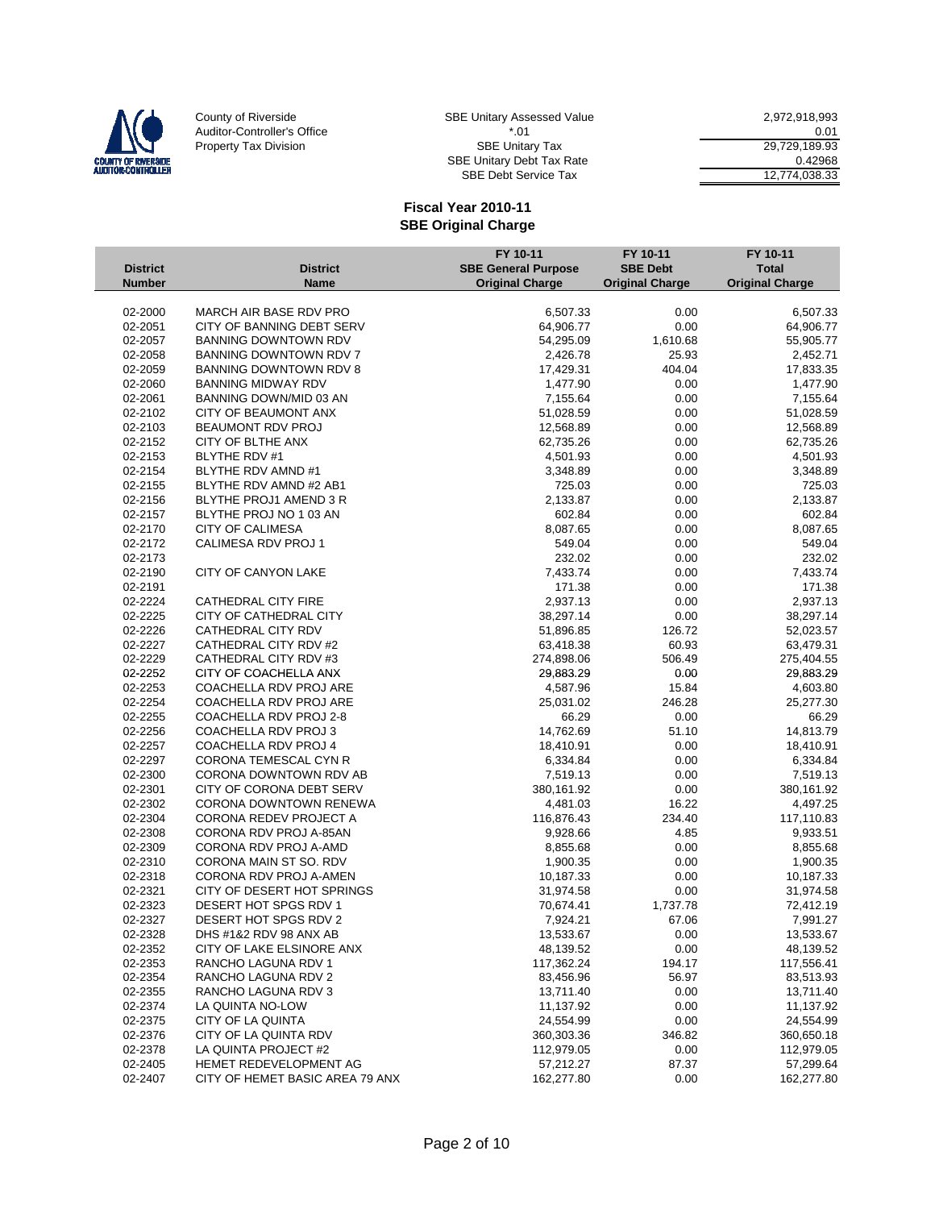

| E Unitary Assessed Value | 2.972.918.993 |
|--------------------------|---------------|
| $*$ 01                   | 0.01          |
| <b>SBE Unitary Tax</b>   | 29.729.189.93 |
| E Unitary Debt Tax Rate  | 0.42968       |
| SBE Debt Service Tax     | 12,774,038.33 |

|                 |                                 | FY 10-11                   | FY 10-11               | FY 10-11               |
|-----------------|---------------------------------|----------------------------|------------------------|------------------------|
| <b>District</b> | <b>District</b>                 | <b>SBE General Purpose</b> | <b>SBE Debt</b>        | <b>Total</b>           |
| <b>Number</b>   | <b>Name</b>                     | <b>Original Charge</b>     | <b>Original Charge</b> | <b>Original Charge</b> |
|                 |                                 |                            |                        |                        |
| 02-2000         | MARCH AIR BASE RDV PRO          | 6,507.33                   | 0.00                   | 6,507.33               |
| 02-2051         | CITY OF BANNING DEBT SERV       | 64,906.77                  | 0.00                   | 64,906.77              |
| 02-2057         | <b>BANNING DOWNTOWN RDV</b>     | 54,295.09                  | 1,610.68               | 55,905.77              |
| 02-2058         | <b>BANNING DOWNTOWN RDV 7</b>   | 2,426.78                   | 25.93                  | 2,452.71               |
| 02-2059         | BANNING DOWNTOWN RDV 8          | 17,429.31                  | 404.04                 | 17,833.35              |
| 02-2060         | <b>BANNING MIDWAY RDV</b>       | 1,477.90                   | 0.00                   | 1,477.90               |
| 02-2061         | BANNING DOWN/MID 03 AN          | 7,155.64                   | 0.00                   | 7,155.64               |
| 02-2102         | CITY OF BEAUMONT ANX            | 51,028.59                  | 0.00                   | 51,028.59              |
| 02-2103         | BEAUMONT RDV PROJ               | 12,568.89                  | 0.00                   | 12,568.89              |
| 02-2152         | CITY OF BLTHE ANX               | 62,735.26                  | 0.00                   | 62,735.26              |
| 02-2153         | <b>BLYTHE RDV #1</b>            | 4,501.93                   | 0.00                   | 4,501.93               |
| 02-2154         | BLYTHE RDV AMND #1              | 3,348.89                   | 0.00                   | 3,348.89               |
| 02-2155         | BLYTHE RDV AMND #2 AB1          | 725.03                     | 0.00                   | 725.03                 |
| 02-2156         | BLYTHE PROJ1 AMEND 3 R          | 2,133.87                   | 0.00                   | 2,133.87               |
| 02-2157         | BLYTHE PROJ NO 1 03 AN          | 602.84                     | 0.00                   | 602.84                 |
| 02-2170         | <b>CITY OF CALIMESA</b>         | 8,087.65                   | 0.00                   | 8,087.65               |
| 02-2172         | CALIMESA RDV PROJ 1             | 549.04                     | 0.00                   | 549.04                 |
| 02-2173         |                                 | 232.02                     | 0.00                   | 232.02                 |
| 02-2190         | CITY OF CANYON LAKE             | 7,433.74                   | 0.00                   | 7,433.74               |
| 02-2191         |                                 | 171.38                     | 0.00                   | 171.38                 |
| 02-2224         | CATHEDRAL CITY FIRE             | 2,937.13                   | 0.00                   | 2,937.13               |
| 02-2225         | CITY OF CATHEDRAL CITY          | 38,297.14                  | 0.00                   | 38,297.14              |
| 02-2226         | CATHEDRAL CITY RDV              | 51,896.85                  | 126.72                 | 52,023.57              |
| 02-2227         | CATHEDRAL CITY RDV #2           | 63,418.38                  | 60.93                  | 63,479.31              |
| 02-2229         | CATHEDRAL CITY RDV #3           | 274,898.06                 | 506.49                 | 275,404.55             |
| 02-2252         | CITY OF COACHELLA ANX           | 29,883.29                  | 0.00                   | 29,883.29              |
| 02-2253         | COACHELLA RDV PROJ ARE          | 4,587.96                   | 15.84                  | 4,603.80               |
| 02-2254         | COACHELLA RDV PROJ ARE          | 25,031.02                  | 246.28                 | 25,277.30              |
| 02-2255         | COACHELLA RDV PROJ 2-8          | 66.29                      | 0.00                   | 66.29                  |
| 02-2256         | COACHELLA RDV PROJ 3            | 14,762.69                  | 51.10                  | 14,813.79              |
| 02-2257         | COACHELLA RDV PROJ 4            | 18,410.91                  | 0.00                   | 18,410.91              |
| 02-2297         | CORONA TEMESCAL CYN R           | 6,334.84                   | 0.00                   | 6,334.84               |
| 02-2300         | CORONA DOWNTOWN RDV AB          | 7,519.13                   | 0.00                   | 7,519.13               |
| 02-2301         | CITY OF CORONA DEBT SERV        | 380,161.92                 | 0.00                   | 380,161.92             |
| 02-2302         | CORONA DOWNTOWN RENEWA          | 4,481.03                   | 16.22                  | 4,497.25               |
| 02-2304         | <b>CORONA REDEV PROJECT A</b>   | 116,876.43                 | 234.40                 | 117,110.83             |
| 02-2308         | CORONA RDV PROJ A-85AN          | 9,928.66                   | 4.85                   | 9,933.51               |
| 02-2309         | CORONA RDV PROJ A-AMD           | 8,855.68                   | 0.00                   | 8,855.68               |
| 02-2310         | CORONA MAIN ST SO, RDV          | 1,900.35                   | 0.00                   | 1,900.35               |
| 02-2318         | CORONA RDV PROJ A-AMEN          | 10,187.33                  | 0.00                   | 10,187.33              |
| 02-2321         | CITY OF DESERT HOT SPRINGS      | 31,974.58                  | 0.00                   | 31,974.58              |
| 02-2323         | DESERT HOT SPGS RDV 1           | 70,674.41                  | 1,737.78               | 72,412.19              |
| 02-2327         | DESERT HOT SPGS RDV 2           | 7,924.21                   | 67.06                  | 7,991.27               |
| 02-2328         | DHS #1&2 RDV 98 ANX AB          | 13,533.67                  | 0.00                   | 13,533.67              |
| 02-2352         | CITY OF LAKE ELSINORE ANX       | 48,139.52                  | 0.00                   | 48,139.52              |
| 02-2353         | RANCHO LAGUNA RDV 1             | 117,362.24                 | 194.17                 | 117,556.41             |
| 02-2354         | RANCHO LAGUNA RDV 2             | 83,456.96                  | 56.97                  | 83,513.93              |
| 02-2355         | RANCHO LAGUNA RDV 3             | 13,711.40                  | 0.00                   | 13,711.40              |
| 02-2374         | LA QUINTA NO-LOW                | 11,137.92                  | 0.00                   | 11,137.92              |
| 02-2375         | CITY OF LA QUINTA               | 24,554.99                  | 0.00                   | 24,554.99              |
| 02-2376         | CITY OF LA QUINTA RDV           | 360,303.36                 | 346.82                 | 360,650.18             |
| 02-2378         | LA QUINTA PROJECT #2            | 112,979.05                 | 0.00                   | 112,979.05             |
| 02-2405         | HEMET REDEVELOPMENT AG          | 57,212.27                  | 87.37                  | 57,299.64              |
| 02-2407         | CITY OF HEMET BASIC AREA 79 ANX | 162,277.80                 | 0.00                   | 162,277.80             |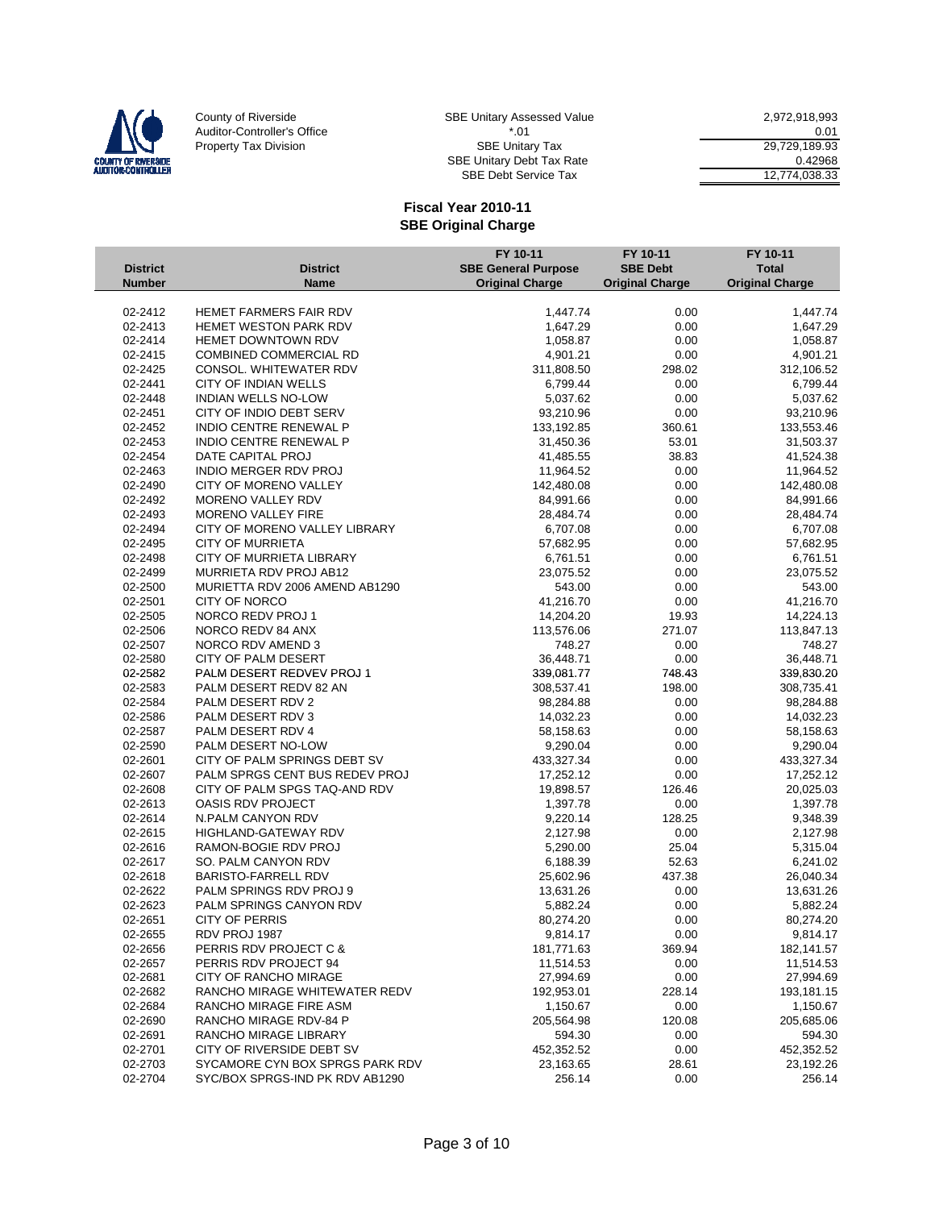

| E Unitary Assessed Value | 2.972.918.993 |
|--------------------------|---------------|
| * በ1                     | 0.01          |
| <b>SBE Unitary Tax</b>   | 29.729.189.93 |
| E Unitary Debt Tax Rate  | 0.42968       |
| SBE Debt Service Tax     | 12.774.038.33 |

|                 |                                 | FY 10-11                   | FY 10-11               | FY 10-11               |
|-----------------|---------------------------------|----------------------------|------------------------|------------------------|
| <b>District</b> | <b>District</b>                 | <b>SBE General Purpose</b> | <b>SBE Debt</b>        | <b>Total</b>           |
| <b>Number</b>   | <b>Name</b>                     | <b>Original Charge</b>     | <b>Original Charge</b> | <b>Original Charge</b> |
|                 |                                 |                            |                        |                        |
| 02-2412         | HEMET FARMERS FAIR RDV          | 1,447.74                   | 0.00                   | 1,447.74               |
| 02-2413         | HEMET WESTON PARK RDV           | 1,647.29                   | 0.00                   | 1,647.29               |
| 02-2414         | <b>HEMET DOWNTOWN RDV</b>       | 1,058.87                   | 0.00                   | 1,058.87               |
| 02-2415         | <b>COMBINED COMMERCIAL RD</b>   | 4,901.21                   | 0.00                   | 4,901.21               |
| 02-2425         | CONSOL. WHITEWATER RDV          | 311,808.50                 | 298.02                 | 312,106.52             |
| 02-2441         | CITY OF INDIAN WELLS            | 6,799.44                   | 0.00                   | 6,799.44               |
| 02-2448         | INDIAN WELLS NO-LOW             | 5,037.62                   | 0.00                   | 5,037.62               |
| 02-2451         | CITY OF INDIO DEBT SERV         | 93,210.96                  | 0.00                   | 93,210.96              |
| 02-2452         | INDIO CENTRE RENEWAL P          | 133,192.85                 | 360.61                 | 133,553.46             |
| 02-2453         | <b>INDIO CENTRE RENEWAL P</b>   | 31,450.36                  | 53.01                  | 31,503.37              |
| 02-2454         | DATE CAPITAL PROJ               | 41,485.55                  | 38.83                  | 41,524.38              |
| 02-2463         | INDIO MERGER RDV PROJ           | 11,964.52                  | 0.00                   | 11,964.52              |
| 02-2490         | CITY OF MORENO VALLEY           | 142,480.08                 | 0.00                   | 142,480.08             |
| 02-2492         | MORENO VALLEY RDV               | 84,991.66                  | 0.00                   | 84,991.66              |
| 02-2493         | MORENO VALLEY FIRE              | 28,484.74                  | 0.00                   | 28,484.74              |
| 02-2494         | CITY OF MORENO VALLEY LIBRARY   | 6,707.08                   | 0.00                   | 6,707.08               |
| 02-2495         | <b>CITY OF MURRIETA</b>         | 57,682.95                  | 0.00                   | 57,682.95              |
| 02-2498         | CITY OF MURRIETA LIBRARY        | 6,761.51                   | 0.00                   | 6,761.51               |
| 02-2499         | MURRIETA RDV PROJ AB12          | 23,075.52                  | 0.00                   | 23,075.52              |
| 02-2500         | MURIETTA RDV 2006 AMEND AB1290  | 543.00                     | 0.00                   | 543.00                 |
| 02-2501         | <b>CITY OF NORCO</b>            | 41,216.70                  | 0.00                   | 41,216.70              |
| 02-2505         | NORCO REDV PROJ 1               | 14,204.20                  | 19.93                  | 14,224.13              |
| 02-2506         | NORCO REDV 84 ANX               | 113,576.06                 | 271.07                 | 113,847.13             |
| 02-2507         | NORCO RDV AMEND 3               | 748.27                     | 0.00                   | 748.27                 |
| 02-2580         | CITY OF PALM DESERT             | 36,448.71                  | 0.00                   | 36,448.71              |
| 02-2582         | PALM DESERT REDVEV PROJ 1       | 339,081.77                 | 748.43                 | 339,830.20             |
| 02-2583         | PALM DESERT REDV 82 AN          | 308,537.41                 | 198.00                 | 308,735.41             |
| 02-2584         | PALM DESERT RDV 2               | 98,284.88                  | 0.00                   | 98,284.88              |
| 02-2586         | PALM DESERT RDV 3               | 14,032.23                  | 0.00                   | 14,032.23              |
| 02-2587         | PALM DESERT RDV 4               | 58,158.63                  | 0.00                   | 58,158.63              |
| 02-2590         | PALM DESERT NO-LOW              | 9,290.04                   | 0.00                   | 9,290.04               |
| 02-2601         | CITY OF PALM SPRINGS DEBT SV    | 433,327.34                 | 0.00                   | 433,327.34             |
| 02-2607         | PALM SPRGS CENT BUS REDEV PROJ  | 17,252.12                  | 0.00                   | 17,252.12              |
| 02-2608         | CITY OF PALM SPGS TAQ-AND RDV   | 19,898.57                  | 126.46                 | 20,025.03              |
| 02-2613         | <b>OASIS RDV PROJECT</b>        | 1,397.78                   | 0.00                   | 1,397.78               |
| 02-2614         | N.PALM CANYON RDV               | 9,220.14                   | 128.25                 | 9,348.39               |
| 02-2615         | HIGHLAND-GATEWAY RDV            | 2,127.98                   | 0.00                   | 2,127.98               |
| 02-2616         | RAMON-BOGIE RDV PROJ            | 5,290.00                   | 25.04                  | 5,315.04               |
| 02-2617         | SO. PALM CANYON RDV             | 6,188.39                   | 52.63                  | 6,241.02               |
| 02-2618         | <b>BARISTO-FARRELL RDV</b>      | 25,602.96                  | 437.38                 | 26,040.34              |
| 02-2622         | PALM SPRINGS RDV PROJ 9         | 13,631.26                  | 0.00                   | 13,631.26              |
| 02-2623         | PALM SPRINGS CANYON RDV         | 5,882.24                   | 0.00                   | 5,882.24               |
| 02-2651         | <b>CITY OF PERRIS</b>           | 80,274.20                  | 0.00                   | 80,274.20              |
| 02-2655         | RDV PROJ 1987                   | 9,814.17                   | 0.00                   | 9,814.17               |
| 02-2656         | PERRIS RDV PROJECT C &          | 181,771.63                 | 369.94                 | 182,141.57             |
| 02-2657         | PERRIS RDV PROJECT 94           | 11,514.53                  | 0.00                   | 11,514.53              |
| 02-2681         | CITY OF RANCHO MIRAGE           | 27,994.69                  | 0.00                   | 27,994.69              |
| 02-2682         | RANCHO MIRAGE WHITEWATER REDV   | 192,953.01                 | 228.14                 | 193,181.15             |
| 02-2684         | RANCHO MIRAGE FIRE ASM          | 1,150.67                   | 0.00                   | 1,150.67               |
| 02-2690         | RANCHO MIRAGE RDV-84 P          | 205,564.98                 | 120.08                 | 205,685.06             |
| 02-2691         | RANCHO MIRAGE LIBRARY           | 594.30                     | 0.00                   | 594.30                 |
| 02-2701         | CITY OF RIVERSIDE DEBT SV       | 452,352.52                 | 0.00                   | 452,352.52             |
| 02-2703         | SYCAMORE CYN BOX SPRGS PARK RDV | 23,163.65                  | 28.61                  | 23,192.26              |
| 02-2704         | SYC/BOX SPRGS-IND PK RDV AB1290 | 256.14                     | 0.00                   | 256.14                 |
|                 |                                 |                            |                        |                        |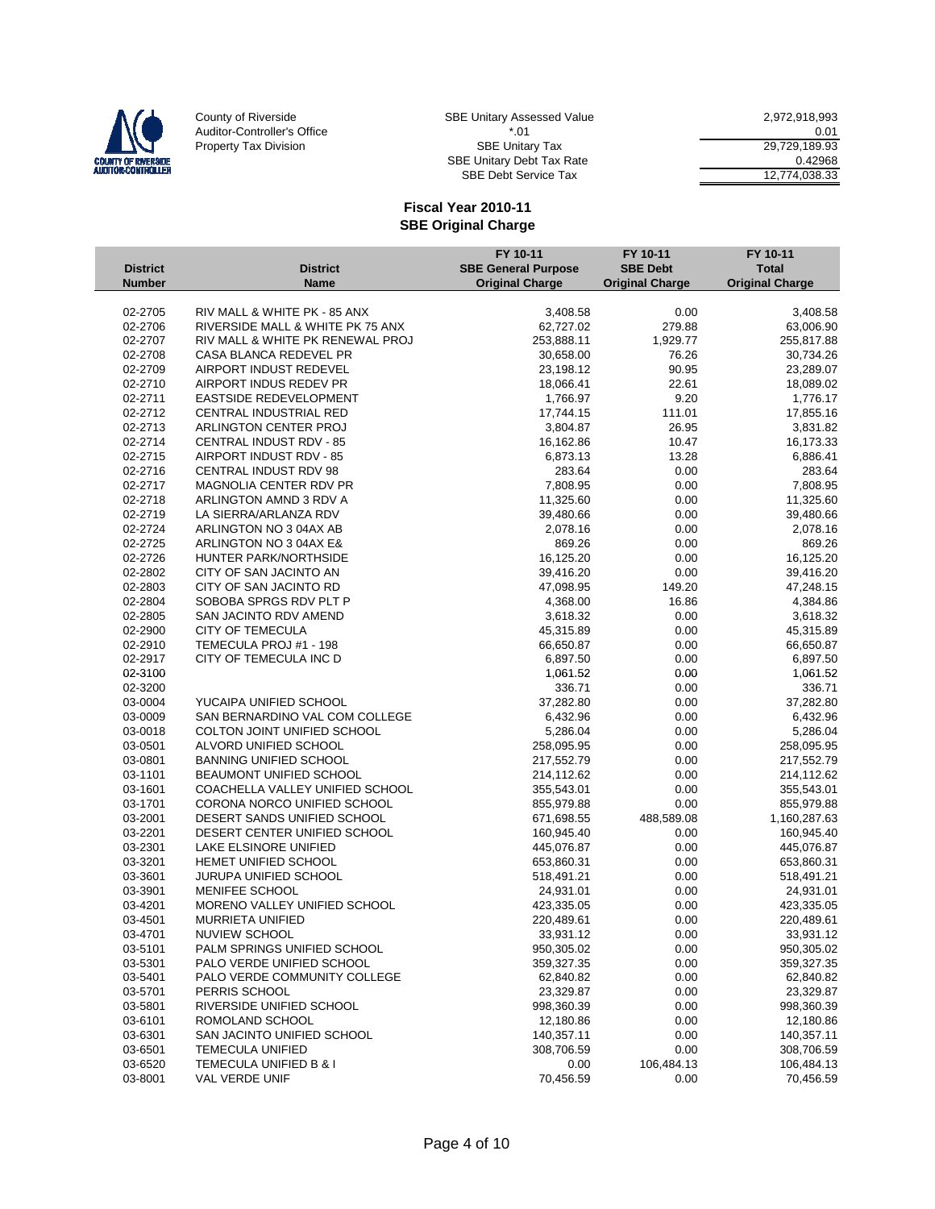

SBE Debt Service Tax 12,774,038.33

|                    |                                                                      | FY 10-11                   | FY 10-11               | FY 10-11                |
|--------------------|----------------------------------------------------------------------|----------------------------|------------------------|-------------------------|
| <b>District</b>    | <b>District</b>                                                      | <b>SBE General Purpose</b> | <b>SBE Debt</b>        | <b>Total</b>            |
| <b>Number</b>      | <b>Name</b>                                                          | <b>Original Charge</b>     | <b>Original Charge</b> | <b>Original Charge</b>  |
|                    |                                                                      |                            |                        |                         |
| 02-2705<br>02-2706 | RIV MALL & WHITE PK - 85 ANX                                         | 3,408.58<br>62,727.02      | 0.00<br>279.88         | 3,408.58                |
| 02-2707            | RIVERSIDE MALL & WHITE PK 75 ANX<br>RIV MALL & WHITE PK RENEWAL PROJ | 253,888.11                 | 1,929.77               | 63,006.90               |
| 02-2708            | CASA BLANCA REDEVEL PR                                               | 30,658.00                  | 76.26                  | 255,817.88<br>30,734.26 |
| 02-2709            | AIRPORT INDUST REDEVEL                                               | 23,198.12                  | 90.95                  | 23,289.07               |
| 02-2710            | AIRPORT INDUS REDEV PR                                               | 18,066.41                  | 22.61                  | 18,089.02               |
| 02-2711            | EASTSIDE REDEVELOPMENT                                               | 1,766.97                   | 9.20                   | 1,776.17                |
| 02-2712            | CENTRAL INDUSTRIAL RED                                               | 17,744.15                  | 111.01                 | 17,855.16               |
| 02-2713            | ARLINGTON CENTER PROJ                                                | 3,804.87                   | 26.95                  | 3,831.82                |
| 02-2714            | CENTRAL INDUST RDV - 85                                              | 16,162.86                  | 10.47                  | 16,173.33               |
| 02-2715            | AIRPORT INDUST RDV - 85                                              | 6,873.13                   | 13.28                  | 6,886.41                |
| 02-2716            | CENTRAL INDUST RDV 98                                                | 283.64                     | 0.00                   | 283.64                  |
| 02-2717            | MAGNOLIA CENTER RDV PR                                               | 7,808.95                   | 0.00                   | 7,808.95                |
| 02-2718            | ARLINGTON AMND 3 RDV A                                               | 11,325.60                  | 0.00                   | 11,325.60               |
| 02-2719            | LA SIERRA/ARLANZA RDV                                                | 39,480.66                  | 0.00                   | 39,480.66               |
| 02-2724            | ARLINGTON NO 3 04AX AB                                               | 2,078.16                   | 0.00                   | 2,078.16                |
| 02-2725            | ARLINGTON NO 3 04AX E&                                               | 869.26                     | 0.00                   | 869.26                  |
| 02-2726            | HUNTER PARK/NORTHSIDE                                                | 16,125.20                  | 0.00                   | 16,125.20               |
| 02-2802            | CITY OF SAN JACINTO AN                                               | 39,416.20                  | 0.00                   | 39,416.20               |
| 02-2803            | CITY OF SAN JACINTO RD                                               | 47,098.95                  | 149.20                 | 47,248.15               |
| 02-2804            | SOBOBA SPRGS RDV PLT P                                               |                            | 16.86                  |                         |
| 02-2805            | <b>SAN JACINTO RDV AMEND</b>                                         | 4,368.00<br>3,618.32       | 0.00                   | 4,384.86<br>3,618.32    |
| 02-2900            | CITY OF TEMECULA                                                     | 45,315.89                  | 0.00                   | 45,315.89               |
| 02-2910            | TEMECULA PROJ #1 - 198                                               | 66,650.87                  | 0.00                   | 66,650.87               |
|                    |                                                                      |                            |                        |                         |
| 02-2917            | CITY OF TEMECULA INC D                                               | 6,897.50                   | 0.00                   | 6,897.50                |
| 02-3100            |                                                                      | 1,061.52                   | 0.00                   | 1,061.52                |
| 02-3200            |                                                                      | 336.71                     | 0.00                   | 336.71                  |
| 03-0004            | YUCAIPA UNIFIED SCHOOL                                               | 37,282.80                  | 0.00                   | 37,282.80               |
| 03-0009            | SAN BERNARDINO VAL COM COLLEGE                                       | 6,432.96                   | 0.00                   | 6,432.96                |
| 03-0018            | COLTON JOINT UNIFIED SCHOOL                                          | 5,286.04                   | 0.00                   | 5,286.04                |
| 03-0501            | ALVORD UNIFIED SCHOOL                                                | 258,095.95                 | 0.00                   | 258,095.95              |
| 03-0801            | <b>BANNING UNIFIED SCHOOL</b>                                        | 217,552.79                 | 0.00                   | 217,552.79              |
| 03-1101            | BEAUMONT UNIFIED SCHOOL                                              | 214,112.62                 | 0.00                   | 214,112.62              |
| 03-1601            | COACHELLA VALLEY UNIFIED SCHOOL                                      | 355,543.01                 | 0.00                   | 355,543.01              |
| 03-1701            | CORONA NORCO UNIFIED SCHOOL                                          | 855,979.88                 | 0.00                   | 855,979.88              |
| 03-2001            | DESERT SANDS UNIFIED SCHOOL                                          | 671,698.55                 | 488,589.08             | 1,160,287.63            |
| 03-2201            | DESERT CENTER UNIFIED SCHOOL                                         | 160,945.40                 | 0.00                   | 160,945.40              |
| 03-2301            | LAKE ELSINORE UNIFIED                                                | 445,076.87                 | 0.00                   | 445,076.87              |
| 03-3201            | HEMET UNIFIED SCHOOL                                                 | 653,860.31                 | 0.00                   | 653,860.31              |
| 03-3601            | JURUPA UNIFIED SCHOOL                                                | 518,491.21                 | 0.00                   | 518,491.21              |
| 03-3901            | MENIFEE SCHOOL                                                       | 24,931.01                  | 0.00                   | 24,931.01               |
| 03-4201            | MORENO VALLEY UNIFIED SCHOOL                                         | 423,335.05                 | 0.00                   | 423,335.05              |
| 03-4501            | <b>MURRIETA UNIFIED</b>                                              | 220,489.61                 | 0.00                   | 220,489.61              |
| 03-4701            | NUVIEW SCHOOL                                                        | 33,931.12                  | 0.00                   | 33,931.12               |
| 03-5101            | PALM SPRINGS UNIFIED SCHOOL                                          | 950,305.02                 | 0.00                   | 950,305.02              |
| 03-5301            | PALO VERDE UNIFIED SCHOOL                                            | 359,327.35                 | 0.00                   | 359,327.35              |
| 03-5401            | PALO VERDE COMMUNITY COLLEGE                                         | 62,840.82                  | 0.00                   | 62,840.82               |
| 03-5701            | PERRIS SCHOOL                                                        | 23,329.87                  | 0.00                   | 23,329.87               |
| 03-5801            | RIVERSIDE UNIFIED SCHOOL                                             | 998,360.39                 | 0.00                   | 998,360.39              |
| 03-6101            | ROMOLAND SCHOOL                                                      | 12,180.86                  | 0.00                   | 12,180.86               |
| 03-6301            | SAN JACINTO UNIFIED SCHOOL                                           | 140,357.11                 | 0.00                   | 140,357.11              |
| 03-6501            | <b>TEMECULA UNIFIED</b>                                              | 308,706.59                 | 0.00                   | 308,706.59              |
| 03-6520            | TEMECULA UNIFIED B & I                                               | 0.00                       | 106,484.13             | 106,484.13              |
| 03-8001            | VAL VERDE UNIF                                                       | 70,456.59                  | 0.00                   | 70,456.59               |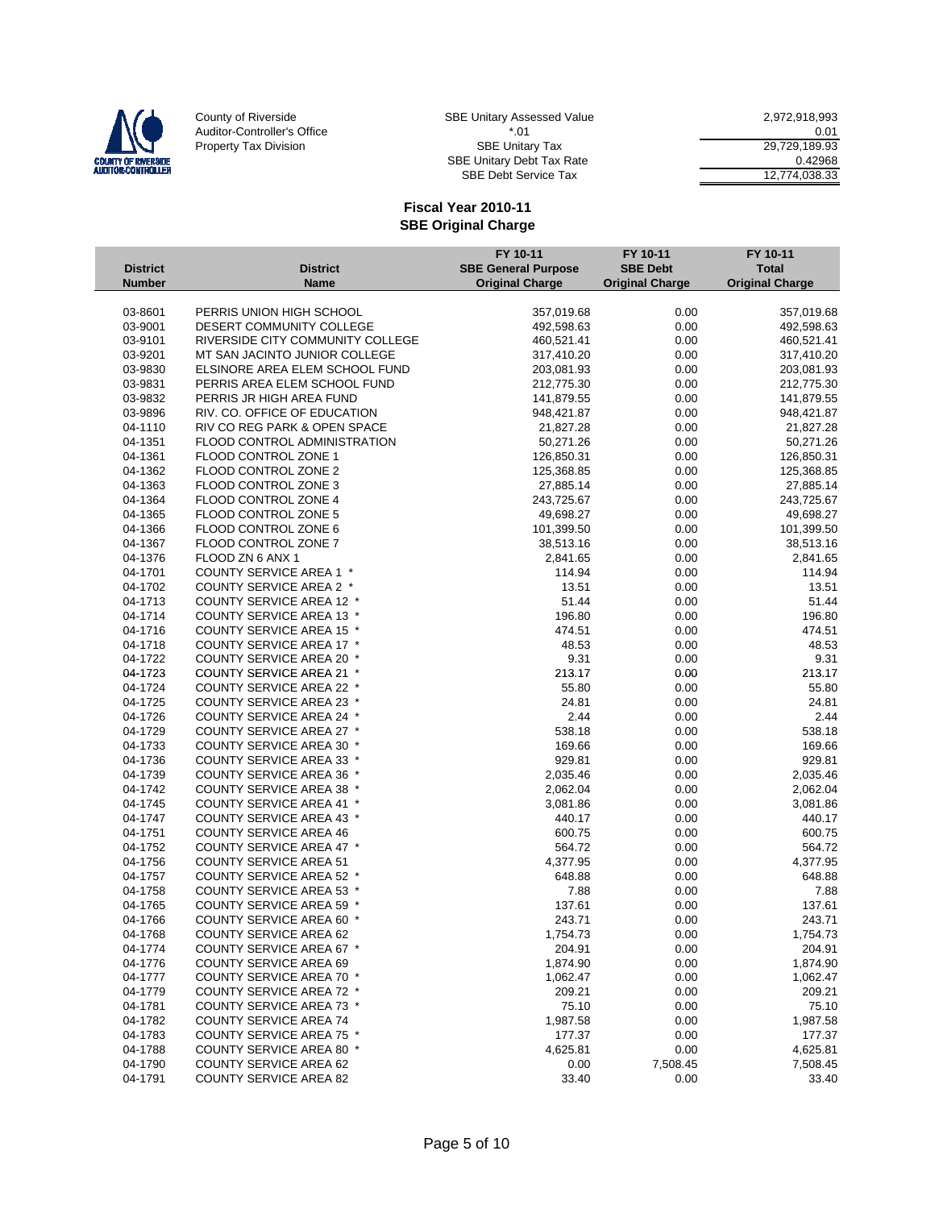

SBE Debt Service Tax 12,774,038.33

|                                  |                                                           | FY 10-11<br><b>SBE General Purpose</b> | FY 10-11<br><b>SBE Debt</b> | FY 10-11<br><b>Total</b> |
|----------------------------------|-----------------------------------------------------------|----------------------------------------|-----------------------------|--------------------------|
| <b>District</b><br><b>Number</b> | <b>District</b><br><b>Name</b>                            | <b>Original Charge</b>                 | <b>Original Charge</b>      | <b>Original Charge</b>   |
|                                  |                                                           |                                        |                             |                          |
| 03-8601                          | PERRIS UNION HIGH SCHOOL                                  | 357,019.68                             | 0.00                        | 357,019.68               |
| 03-9001                          | DESERT COMMUNITY COLLEGE                                  | 492,598.63                             | 0.00                        | 492,598.63               |
| 03-9101                          | RIVERSIDE CITY COMMUNITY COLLEGE                          | 460,521.41                             | 0.00                        | 460,521.41               |
| 03-9201                          | MT SAN JACINTO JUNIOR COLLEGE                             | 317,410.20                             | 0.00                        | 317,410.20               |
| 03-9830                          | ELSINORE AREA ELEM SCHOOL FUND                            | 203,081.93                             | 0.00                        | 203,081.93               |
| 03-9831                          | PERRIS AREA ELEM SCHOOL FUND                              | 212,775.30                             | 0.00                        | 212,775.30               |
| 03-9832                          | PERRIS JR HIGH AREA FUND                                  | 141,879.55                             | 0.00                        | 141,879.55               |
| 03-9896                          | RIV. CO. OFFICE OF EDUCATION                              | 948,421.87                             | 0.00                        | 948,421.87               |
| 04-1110                          | RIV CO REG PARK & OPEN SPACE                              | 21,827.28                              | 0.00                        | 21,827.28                |
| 04-1351                          | <b>FLOOD CONTROL ADMINISTRATION</b>                       | 50,271.26                              | 0.00                        | 50,271.26                |
| 04-1361                          | FLOOD CONTROL ZONE 1                                      | 126,850.31                             | 0.00                        | 126,850.31               |
| 04-1362                          | FLOOD CONTROL ZONE 2                                      | 125,368.85                             | 0.00                        | 125,368.85               |
| 04-1363                          | FLOOD CONTROL ZONE 3                                      | 27,885.14                              | 0.00                        | 27,885.14                |
| 04-1364                          | FLOOD CONTROL ZONE 4                                      | 243,725.67                             | 0.00                        | 243,725.67               |
| 04-1365                          | FLOOD CONTROL ZONE 5                                      | 49,698.27                              | 0.00                        | 49,698.27                |
| 04-1366                          | FLOOD CONTROL ZONE 6                                      | 101,399.50                             | 0.00                        | 101,399.50               |
| 04-1367                          | FLOOD CONTROL ZONE 7                                      | 38,513.16                              | 0.00                        | 38,513.16                |
| 04-1376                          | FLOOD ZN 6 ANX 1                                          | 2,841.65                               | 0.00                        | 2,841.65                 |
| 04-1701                          | <b>COUNTY SERVICE AREA 1 *</b>                            | 114.94                                 | 0.00                        | 114.94                   |
| 04-1702                          | COUNTY SERVICE AREA 2 *                                   | 13.51                                  | 0.00                        | 13.51                    |
| 04-1713                          | COUNTY SERVICE AREA 12 *                                  | 51.44                                  | 0.00                        | 51.44                    |
| 04-1714                          | <b>COUNTY SERVICE AREA 13 *</b>                           | 196.80                                 | 0.00                        | 196.80                   |
| 04-1716                          | <b>COUNTY SERVICE AREA 15 *</b>                           | 474.51                                 | 0.00                        | 474.51                   |
| 04-1718                          | COUNTY SERVICE AREA 17 *                                  | 48.53                                  | 0.00                        | 48.53                    |
| 04-1722                          | <b>COUNTY SERVICE AREA 20 *</b>                           | 9.31                                   | 0.00                        | 9.31                     |
| 04-1723                          | <b>COUNTY SERVICE AREA 21 *</b>                           | 213.17                                 | 0.00                        | 213.17                   |
| 04-1724                          | <b>COUNTY SERVICE AREA 22 *</b>                           | 55.80                                  | 0.00                        | 55.80                    |
| 04-1725                          | <b>COUNTY SERVICE AREA 23 *</b>                           | 24.81                                  | 0.00                        | 24.81                    |
| 04-1726                          | COUNTY SERVICE AREA 24 *                                  | 2.44                                   | 0.00                        | 2.44                     |
| 04-1729                          | COUNTY SERVICE AREA 27 *                                  | 538.18                                 | 0.00                        | 538.18                   |
| 04-1733                          | <b>COUNTY SERVICE AREA 30 *</b>                           | 169.66                                 | 0.00                        | 169.66                   |
| 04-1736                          | <b>COUNTY SERVICE AREA 33 *</b>                           | 929.81                                 | 0.00                        | 929.81                   |
| 04-1739                          | <b>COUNTY SERVICE AREA 36 *</b>                           | 2,035.46                               | 0.00                        | 2,035.46                 |
| 04-1742                          | <b>COUNTY SERVICE AREA 38 *</b>                           | 2,062.04                               | 0.00                        | 2,062.04                 |
| 04-1745                          | <b>COUNTY SERVICE AREA 41 *</b>                           | 3,081.86                               | 0.00                        | 3,081.86                 |
| 04-1747                          | <b>COUNTY SERVICE AREA 43 *</b>                           | 440.17                                 | 0.00<br>0.00                | 440.17                   |
| 04-1751<br>04-1752               | <b>COUNTY SERVICE AREA 46</b><br>COUNTY SERVICE AREA 47 * | 600.75<br>564.72                       | 0.00                        | 600.75<br>564.72         |
| 04-1756                          | <b>COUNTY SERVICE AREA 51</b>                             |                                        | 0.00                        |                          |
| 04-1757                          | <b>COUNTY SERVICE AREA 52 *</b>                           | 4,377.95<br>648.88                     | 0.00                        | 4,377.95<br>648.88       |
| 04-1758                          | <b>COUNTY SERVICE AREA 53 *</b>                           | 7.88                                   | 0.00                        | 7.88                     |
| 04-1765                          | <b>COUNTY SERVICE AREA 59 *</b>                           | 137.61                                 | 0.00                        | 137.61                   |
| 04-1766                          | <b>COUNTY SERVICE AREA 60 *</b>                           | 243.71                                 | 0.00                        | 243.71                   |
| 04-1768                          | COUNTY SERVICE AREA 62                                    | 1,754.73                               | 0.00                        | 1,754.73                 |
| 04-1774                          | <b>COUNTY SERVICE AREA 67 *</b>                           | 204.91                                 | 0.00                        | 204.91                   |
| 04-1776                          | <b>COUNTY SERVICE AREA 69</b>                             | 1,874.90                               | 0.00                        | 1,874.90                 |
| 04-1777                          | <b>COUNTY SERVICE AREA 70 *</b>                           | 1,062.47                               | 0.00                        | 1,062.47                 |
| 04-1779                          | <b>COUNTY SERVICE AREA 72 *</b>                           | 209.21                                 | 0.00                        | 209.21                   |
| 04-1781                          | <b>COUNTY SERVICE AREA 73 *</b>                           | 75.10                                  | 0.00                        | 75.10                    |
| 04-1782                          | <b>COUNTY SERVICE AREA 74</b>                             | 1,987.58                               | 0.00                        | 1,987.58                 |
| 04-1783                          | COUNTY SERVICE AREA 75 *                                  | 177.37                                 | 0.00                        | 177.37                   |
| 04-1788                          | <b>COUNTY SERVICE AREA 80 *</b>                           | 4,625.81                               | 0.00                        | 4,625.81                 |
| 04-1790                          | <b>COUNTY SERVICE AREA 62</b>                             | 0.00                                   | 7,508.45                    | 7,508.45                 |
| 04-1791                          | <b>COUNTY SERVICE AREA 82</b>                             | 33.40                                  | 0.00                        | 33.40                    |
|                                  |                                                           |                                        |                             |                          |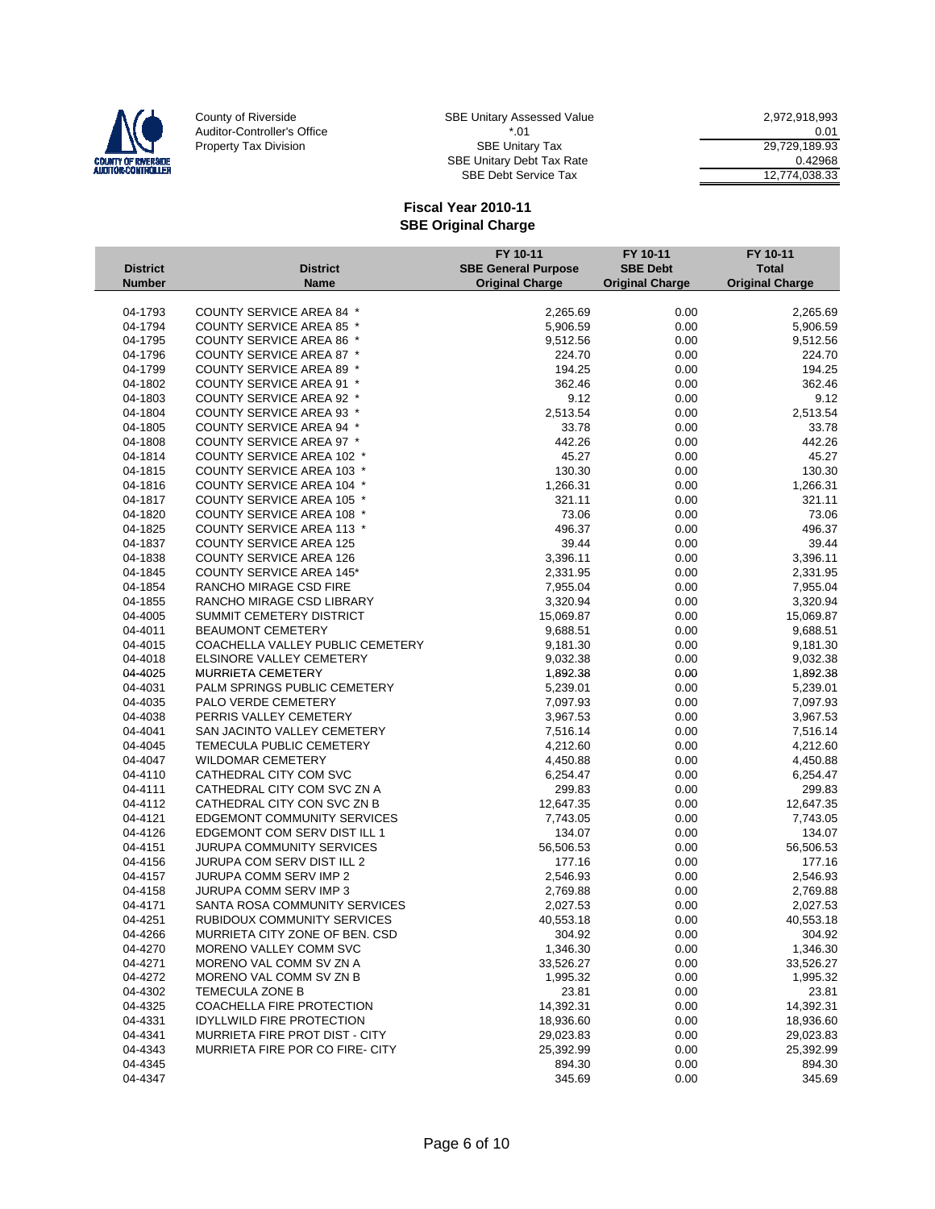

| E Unitary Assessed Value | 2.972.918.993 |
|--------------------------|---------------|
| * በ1                     | 0.01          |
| <b>SBE Unitary Tax</b>   | 29.729.189.93 |
| E Unitary Debt Tax Rate  | 0.42968       |
| SBE Debt Service Tax     | 12.774.038.33 |

|                 |                                  | FY 10-11                   | FY 10-11               | FY 10-11               |
|-----------------|----------------------------------|----------------------------|------------------------|------------------------|
| <b>District</b> | <b>District</b>                  | <b>SBE General Purpose</b> | <b>SBE Debt</b>        | <b>Total</b>           |
| <b>Number</b>   | Name                             | <b>Original Charge</b>     | <b>Original Charge</b> | <b>Original Charge</b> |
|                 |                                  |                            |                        |                        |
| 04-1793         | COUNTY SERVICE AREA 84 *         | 2,265.69                   | 0.00                   | 2,265.69               |
| 04-1794         | COUNTY SERVICE AREA 85 *         | 5,906.59                   | 0.00                   | 5,906.59               |
| 04-1795         | <b>COUNTY SERVICE AREA 86 *</b>  | 9,512.56                   | 0.00                   | 9,512.56               |
| 04-1796         | COUNTY SERVICE AREA 87 *         | 224.70                     | 0.00                   | 224.70                 |
| 04-1799         | <b>COUNTY SERVICE AREA 89 *</b>  | 194.25                     | 0.00                   | 194.25                 |
| 04-1802         | <b>COUNTY SERVICE AREA 91 *</b>  | 362.46                     | 0.00                   | 362.46                 |
| 04-1803         | COUNTY SERVICE AREA 92 *         | 9.12                       | 0.00                   | 9.12                   |
| 04-1804         | <b>COUNTY SERVICE AREA 93 *</b>  | 2,513.54                   | 0.00                   | 2,513.54               |
| 04-1805         | <b>COUNTY SERVICE AREA 94 *</b>  | 33.78                      | 0.00                   | 33.78                  |
| 04-1808         | COUNTY SERVICE AREA 97 *         | 442.26                     | 0.00                   | 442.26                 |
| 04-1814         | <b>COUNTY SERVICE AREA 102 *</b> | 45.27                      | 0.00                   | 45.27                  |
| 04-1815         | <b>COUNTY SERVICE AREA 103 *</b> | 130.30                     | 0.00                   | 130.30                 |
| 04-1816         | <b>COUNTY SERVICE AREA 104 *</b> | 1,266.31                   | 0.00                   | 1,266.31               |
| 04-1817         | COUNTY SERVICE AREA 105 *        | 321.11                     | 0.00                   | 321.11                 |
| 04-1820         | COUNTY SERVICE AREA 108 *        | 73.06                      | 0.00                   | 73.06                  |
| 04-1825         | <b>COUNTY SERVICE AREA 113 *</b> | 496.37                     | 0.00                   | 496.37                 |
| 04-1837         | <b>COUNTY SERVICE AREA 125</b>   | 39.44                      | 0.00                   | 39.44                  |
| 04-1838         | <b>COUNTY SERVICE AREA 126</b>   | 3,396.11                   | 0.00                   | 3,396.11               |
| 04-1845         | <b>COUNTY SERVICE AREA 145*</b>  | 2,331.95                   | 0.00                   | 2,331.95               |
| 04-1854         | RANCHO MIRAGE CSD FIRE           | 7,955.04                   | 0.00                   | 7,955.04               |
| 04-1855         | RANCHO MIRAGE CSD LIBRARY        | 3,320.94                   | 0.00                   | 3,320.94               |
| 04-4005         | SUMMIT CEMETERY DISTRICT         | 15,069.87                  | 0.00                   | 15,069.87              |
| 04-4011         | <b>BEAUMONT CEMETERY</b>         | 9,688.51                   | 0.00                   | 9,688.51               |
| 04-4015         | COACHELLA VALLEY PUBLIC CEMETERY | 9,181.30                   | 0.00                   | 9,181.30               |
| 04-4018         | <b>ELSINORE VALLEY CEMETERY</b>  | 9,032.38                   | 0.00                   | 9,032.38               |
| 04-4025         | MURRIETA CEMETERY                | 1,892.38                   | 0.00                   | 1,892.38               |
| 04-4031         | PALM SPRINGS PUBLIC CEMETERY     | 5,239.01                   | 0.00                   | 5,239.01               |
| 04-4035         | PALO VERDE CEMETERY              | 7,097.93                   | 0.00                   | 7,097.93               |
| 04-4038         | PERRIS VALLEY CEMETERY           | 3,967.53                   | 0.00                   | 3,967.53               |
| 04-4041         | SAN JACINTO VALLEY CEMETERY      | 7,516.14                   | 0.00                   | 7,516.14               |
| 04-4045         | TEMECULA PUBLIC CEMETERY         | 4,212.60                   | 0.00                   | 4,212.60               |
| 04-4047         | <b>WILDOMAR CEMETERY</b>         | 4,450.88                   | 0.00                   | 4,450.88               |
| 04-4110         | CATHEDRAL CITY COM SVC           | 6,254.47                   | 0.00                   | 6,254.47               |
| 04-4111         | CATHEDRAL CITY COM SVC ZN A      | 299.83                     | 0.00                   | 299.83                 |
| 04-4112         | CATHEDRAL CITY CON SVC ZN B      | 12,647.35                  | 0.00                   | 12,647.35              |
| 04-4121         | EDGEMONT COMMUNITY SERVICES      | 7,743.05                   | 0.00                   | 7,743.05               |
| 04-4126         | EDGEMONT COM SERV DIST ILL 1     | 134.07                     | 0.00                   | 134.07                 |
| 04-4151         | <b>JURUPA COMMUNITY SERVICES</b> | 56,506.53                  | 0.00                   | 56,506.53              |
| 04-4156         | JURUPA COM SERV DIST ILL 2       | 177.16                     | 0.00                   | 177.16                 |
| 04-4157         | <b>JURUPA COMM SERV IMP 2</b>    | 2,546.93                   | 0.00                   | 2,546.93               |
| 04-4158         | JURUPA COMM SERV IMP 3           | 2,769.88                   | 0.00                   | 2,769.88               |
| 04-4171         | SANTA ROSA COMMUNITY SERVICES    | 2,027.53                   | 0.00                   | 2,027.53               |
| 04-4251         | RUBIDOUX COMMUNITY SERVICES      | 40,553.18                  | 0.00                   | 40,553.18              |
| 04-4266         | MURRIETA CITY ZONE OF BEN. CSD   | 304.92                     | 0.00                   | 304.92                 |
| 04-4270         | MORENO VALLEY COMM SVC           | 1,346.30                   | 0.00                   | 1,346.30               |
| 04-4271         | MORENO VAL COMM SV ZN A          | 33,526.27                  | 0.00                   | 33,526.27              |
| 04-4272         | MORENO VAL COMM SV ZN B          | 1,995.32                   | 0.00                   | 1,995.32               |
| 04-4302         | TEMECULA ZONE B                  | 23.81                      | 0.00                   | 23.81                  |
| 04-4325         | COACHELLA FIRE PROTECTION        | 14,392.31                  | 0.00                   | 14,392.31              |
| 04-4331         | <b>IDYLLWILD FIRE PROTECTION</b> | 18,936.60                  | 0.00                   | 18,936.60              |
| 04-4341         | MURRIETA FIRE PROT DIST - CITY   | 29,023.83                  | 0.00                   | 29,023.83              |
| 04-4343         | MURRIETA FIRE POR CO FIRE- CITY  | 25,392.99                  | 0.00                   | 25,392.99              |
| 04-4345         |                                  | 894.30                     | 0.00                   | 894.30                 |
| 04-4347         |                                  | 345.69                     | 0.00                   | 345.69                 |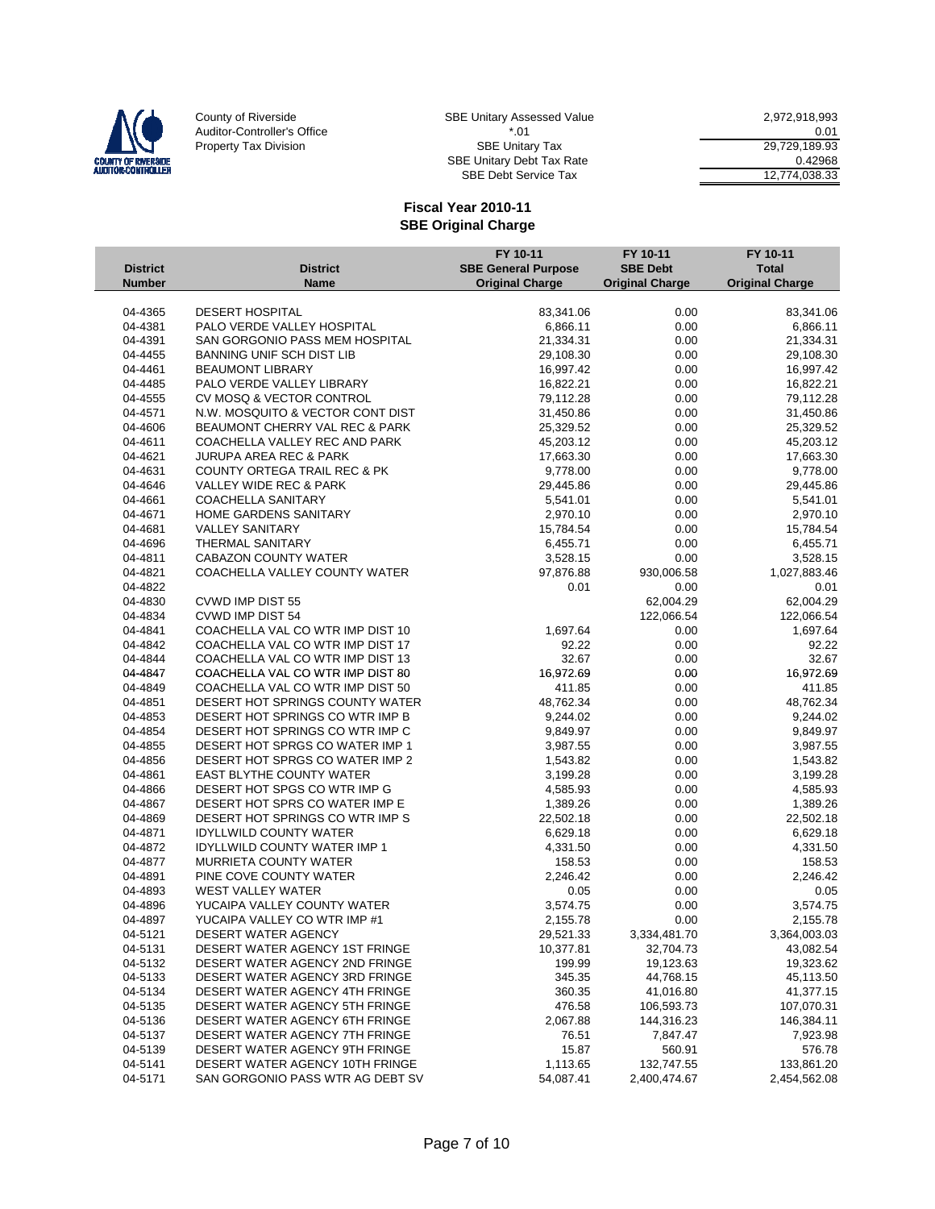

SBE Debt Service Tax 12,774,038.33

|                 |                                                                  | FY 10-11                   | FY 10-11               | FY 10-11               |
|-----------------|------------------------------------------------------------------|----------------------------|------------------------|------------------------|
| <b>District</b> | <b>District</b>                                                  | <b>SBE General Purpose</b> | <b>SBE Debt</b>        | <b>Total</b>           |
| <b>Number</b>   | <b>Name</b>                                                      | <b>Original Charge</b>     | <b>Original Charge</b> | <b>Original Charge</b> |
|                 |                                                                  |                            |                        |                        |
| 04-4365         | <b>DESERT HOSPITAL</b>                                           | 83,341.06                  | 0.00                   | 83,341.06              |
| 04-4381         | PALO VERDE VALLEY HOSPITAL                                       | 6,866.11                   | 0.00                   | 6,866.11               |
| 04-4391         | SAN GORGONIO PASS MEM HOSPITAL                                   | 21,334.31                  | 0.00                   | 21,334.31              |
| 04-4455         | <b>BANNING UNIF SCH DIST LIB</b>                                 | 29,108.30                  | 0.00                   | 29,108.30              |
| 04-4461         | <b>BEAUMONT LIBRARY</b>                                          | 16,997.42                  | 0.00                   | 16,997.42              |
| 04-4485         | PALO VERDE VALLEY LIBRARY                                        | 16,822.21                  | 0.00                   | 16,822.21              |
| 04-4555         | CV MOSQ & VECTOR CONTROL                                         | 79,112.28                  | 0.00                   | 79,112.28              |
| 04-4571         | N.W. MOSQUITO & VECTOR CONT DIST                                 | 31,450.86                  | 0.00                   | 31,450.86              |
| 04-4606         | BEAUMONT CHERRY VAL REC & PARK                                   | 25,329.52                  | 0.00                   | 25,329.52              |
| 04-4611         | COACHELLA VALLEY REC AND PARK                                    | 45,203.12                  | 0.00                   | 45,203.12              |
| 04-4621         | <b>JURUPA AREA REC &amp; PARK</b>                                | 17,663.30                  | 0.00                   | 17,663.30              |
| 04-4631         | <b>COUNTY ORTEGA TRAIL REC &amp; PK</b>                          | 9,778.00                   | 0.00                   | 9,778.00               |
| 04-4646         | VALLEY WIDE REC & PARK                                           | 29,445.86                  | 0.00                   | 29,445.86              |
| 04-4661         | <b>COACHELLA SANITARY</b>                                        | 5,541.01                   | 0.00                   | 5,541.01               |
| 04-4671         | HOME GARDENS SANITARY                                            | 2,970.10                   | 0.00                   | 2,970.10               |
| 04-4681         | <b>VALLEY SANITARY</b>                                           | 15,784.54                  | 0.00                   | 15,784.54              |
| 04-4696         | THERMAL SANITARY                                                 | 6,455.71                   | 0.00                   | 6,455.71               |
| 04-4811         | <b>CABAZON COUNTY WATER</b>                                      | 3,528.15                   | 0.00                   | 3,528.15               |
| 04-4821         | COACHELLA VALLEY COUNTY WATER                                    | 97,876.88                  | 930,006.58             | 1,027,883.46           |
| 04-4822         |                                                                  | 0.01                       | 0.00                   | 0.01                   |
| 04-4830         | CVWD IMP DIST 55                                                 |                            | 62,004.29              | 62,004.29              |
| 04-4834         | CVWD IMP DIST 54                                                 |                            | 122,066.54             | 122,066.54             |
| 04-4841         | COACHELLA VAL CO WTR IMP DIST 10                                 | 1,697.64                   | 0.00                   | 1,697.64               |
| 04-4842         | COACHELLA VAL CO WTR IMP DIST 17                                 | 92.22                      | 0.00                   | 92.22                  |
| 04-4844         | COACHELLA VAL CO WTR IMP DIST 13                                 | 32.67                      | 0.00                   | 32.67                  |
| 04-4847         | COACHELLA VAL CO WTR IMP DIST 80                                 | 16,972.69                  | 0.00                   | 16,972.69              |
| 04-4849         | COACHELLA VAL CO WTR IMP DIST 50                                 | 411.85                     | 0.00                   | 411.85                 |
| 04-4851         | DESERT HOT SPRINGS COUNTY WATER                                  | 48,762.34                  | 0.00                   | 48,762.34              |
| 04-4853         | DESERT HOT SPRINGS CO WTR IMP B                                  | 9,244.02                   | 0.00                   | 9,244.02               |
| 04-4854         | DESERT HOT SPRINGS CO WTR IMP C                                  | 9,849.97                   | 0.00                   | 9,849.97               |
| 04-4855         | DESERT HOT SPRGS CO WATER IMP 1                                  | 3,987.55                   | 0.00                   | 3,987.55               |
| 04-4856         | DESERT HOT SPRGS CO WATER IMP 2                                  | 1,543.82                   | 0.00                   | 1,543.82               |
| 04-4861         | <b>EAST BLYTHE COUNTY WATER</b>                                  | 3,199.28                   | 0.00                   | 3,199.28               |
| 04-4866         | DESERT HOT SPGS CO WTR IMP G                                     | 4,585.93                   | 0.00                   | 4,585.93               |
| 04-4867         | DESERT HOT SPRS CO WATER IMP E                                   | 1,389.26                   | 0.00                   | 1,389.26               |
| 04-4869         | DESERT HOT SPRINGS CO WTR IMP S                                  | 22,502.18                  | 0.00                   | 22,502.18              |
| 04-4871         | <b>IDYLLWILD COUNTY WATER</b>                                    | 6,629.18                   | 0.00                   | 6,629.18               |
| 04-4872         | <b>IDYLLWILD COUNTY WATER IMP 1</b>                              | 4,331.50                   | 0.00                   | 4,331.50               |
| 04-4877         | <b>MURRIETA COUNTY WATER</b>                                     | 158.53                     | 0.00                   | 158.53                 |
| 04-4891         | PINE COVE COUNTY WATER                                           | 2,246.42                   | 0.00                   | 2,246.42               |
| 04-4893         | <b>WEST VALLEY WATER</b>                                         | 0.05                       | 0.00                   | 0.05                   |
| 04-4896         | YUCAIPA VALLEY COUNTY WATER                                      | 3,574.75                   | 0.00                   | 3,574.75               |
| 04-4897         | YUCAIPA VALLEY CO WTR IMP #1                                     | 2,155.78                   | 0.00                   | 2,155.78               |
|                 |                                                                  | 29,521.33                  | 3,334,481.70           |                        |
| 04-5121         | DESERT WATER AGENCY                                              |                            | 32,704.73              | 3,364,003.03           |
| 04-5131         | DESERT WATER AGENCY 1ST FRINGE<br>DESERT WATER AGENCY 2ND FRINGE | 10,377.81                  |                        | 43,082.54              |
| 04-5132         |                                                                  | 199.99                     | 19,123.63              | 19,323.62              |
| 04-5133         | DESERT WATER AGENCY 3RD FRINGE                                   | 345.35                     | 44,768.15              | 45,113.50              |
| 04-5134         | DESERT WATER AGENCY 4TH FRINGE                                   | 360.35                     | 41,016.80              | 41,377.15              |
| 04-5135         | DESERT WATER AGENCY 5TH FRINGE                                   | 476.58                     | 106,593.73             | 107,070.31             |
| 04-5136         | DESERT WATER AGENCY 6TH FRINGE                                   | 2,067.88                   | 144,316.23             | 146,384.11             |
| 04-5137         | DESERT WATER AGENCY 7TH FRINGE                                   | 76.51                      | 7,847.47               | 7,923.98               |
| 04-5139         | DESERT WATER AGENCY 9TH FRINGE                                   | 15.87                      | 560.91                 | 576.78                 |
| 04-5141         | DESERT WATER AGENCY 10TH FRINGE                                  | 1,113.65                   | 132,747.55             | 133,861.20             |
| 04-5171         | SAN GORGONIO PASS WTR AG DEBT SV                                 | 54,087.41                  | 2,400,474.67           | 2,454,562.08           |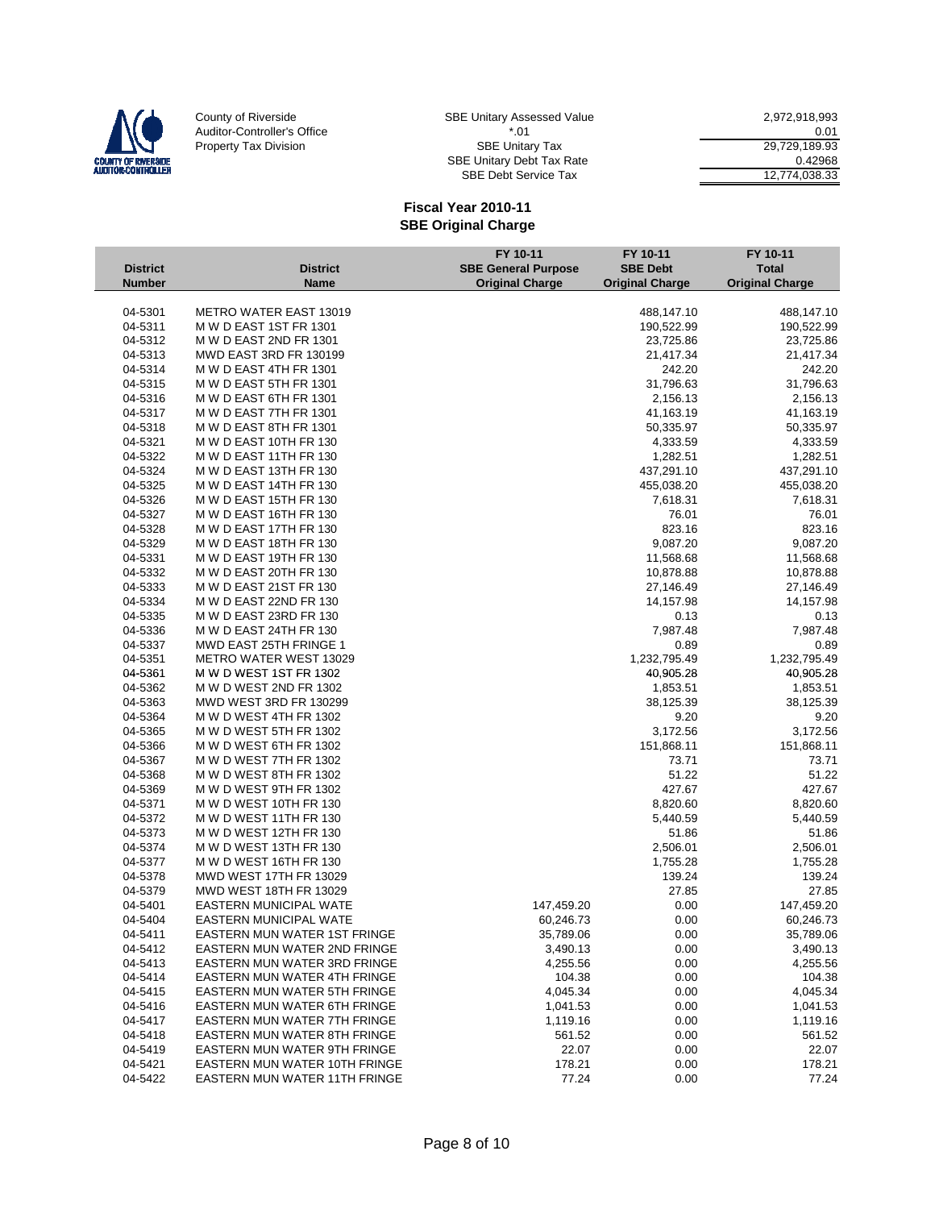

SBE Debt Service Tax 12,774,038.33

|                 |                                      | FY 10-11                   | FY 10-11               | FY 10-11               |
|-----------------|--------------------------------------|----------------------------|------------------------|------------------------|
| <b>District</b> | <b>District</b>                      | <b>SBE General Purpose</b> | <b>SBE Debt</b>        | <b>Total</b>           |
| <b>Number</b>   | <b>Name</b>                          | <b>Original Charge</b>     | <b>Original Charge</b> | <b>Original Charge</b> |
|                 |                                      |                            |                        |                        |
| 04-5301         | <b>METRO WATER EAST 13019</b>        |                            | 488,147.10             | 488,147.10             |
| 04-5311         | M W D EAST 1ST FR 1301               |                            | 190,522.99             | 190,522.99             |
| 04-5312         | M W D EAST 2ND FR 1301               |                            | 23,725.86              | 23,725.86              |
| 04-5313         | <b>MWD EAST 3RD FR 130199</b>        |                            | 21,417.34              | 21,417.34              |
| 04-5314         | M W D EAST 4TH FR 1301               |                            | 242.20                 | 242.20                 |
| 04-5315         | M W D EAST 5TH FR 1301               |                            | 31,796.63              | 31,796.63              |
| 04-5316         | M W D EAST 6TH FR 1301               |                            | 2,156.13               | 2,156.13               |
| 04-5317         | M W D EAST 7TH FR 1301               |                            | 41,163.19              | 41,163.19              |
| 04-5318         | M W D EAST 8TH FR 1301               |                            | 50,335.97              | 50,335.97              |
| 04-5321         | M W D EAST 10TH FR 130               |                            | 4,333.59               | 4,333.59               |
| 04-5322         | M W D EAST 11TH FR 130               |                            | 1,282.51               | 1,282.51               |
| 04-5324         | M W D EAST 13TH FR 130               |                            | 437,291.10             | 437,291.10             |
| 04-5325         | M W D EAST 14TH FR 130               |                            | 455,038.20             | 455,038.20             |
| 04-5326         | M W D EAST 15TH FR 130               |                            | 7,618.31               | 7,618.31               |
| 04-5327         | M W D EAST 16TH FR 130               |                            | 76.01                  | 76.01                  |
| 04-5328         | M W D EAST 17TH FR 130               |                            | 823.16                 | 823.16                 |
| 04-5329         | M W D EAST 18TH FR 130               |                            | 9,087.20               | 9,087.20               |
| 04-5331         | M W D EAST 19TH FR 130               |                            | 11,568.68              | 11,568.68              |
| 04-5332         | M W D EAST 20TH FR 130               |                            | 10,878.88              | 10,878.88              |
| 04-5333         | M W D EAST 21ST FR 130               |                            | 27,146.49              | 27,146.49              |
| 04-5334         | M W D EAST 22ND FR 130               |                            | 14,157.98              | 14,157.98              |
| 04-5335         | M W D EAST 23RD FR 130               |                            | 0.13                   | 0.13                   |
| 04-5336         | M W D EAST 24TH FR 130               |                            | 7,987.48               | 7,987.48               |
| 04-5337         | MWD EAST 25TH FRINGE 1               |                            | 0.89                   | 0.89                   |
| 04-5351         | <b>METRO WATER WEST 13029</b>        |                            | 1,232,795.49           | 1,232,795.49           |
| 04-5361         | M W D WEST 1ST FR 1302               |                            | 40,905.28              | 40,905.28              |
| 04-5362         | M W D WEST 2ND FR 1302               |                            | 1,853.51               | 1,853.51               |
| 04-5363         | <b>MWD WEST 3RD FR 130299</b>        |                            | 38,125.39              | 38,125.39              |
| 04-5364         | M W D WEST 4TH FR 1302               |                            | 9.20                   | 9.20                   |
| 04-5365         | M W D WEST 5TH FR 1302               |                            | 3,172.56               | 3,172.56               |
| 04-5366         | M W D WEST 6TH FR 1302               |                            | 151,868.11             | 151,868.11             |
| 04-5367         | M W D WEST 7TH FR 1302               |                            | 73.71                  | 73.71                  |
| 04-5368         | M W D WEST 8TH FR 1302               |                            | 51.22                  | 51.22                  |
| 04-5369         | M W D WEST 9TH FR 1302               |                            | 427.67                 | 427.67                 |
| 04-5371         | M W D WEST 10TH FR 130               |                            | 8,820.60               | 8,820.60               |
| 04-5372         | M W D WEST 11TH FR 130               |                            | 5,440.59               | 5,440.59               |
| 04-5373         | M W D WEST 12TH FR 130               |                            | 51.86                  | 51.86                  |
| 04-5374         | M W D WEST 13TH FR 130               |                            | 2,506.01               | 2,506.01               |
| 04-5377         | M W D WEST 16TH FR 130               |                            | 1,755.28               | 1,755.28               |
| 04-5378         | MWD WEST 17TH FR 13029               |                            | 139.24                 | 139.24                 |
| 04-5379         | MWD WEST 18TH FR 13029               |                            | 27.85                  | 27.85                  |
| 04-5401         | EASTERN MUNICIPAL WATE               | 147,459.20                 | 0.00                   | 147,459.20             |
| 04-5404         | <b>EASTERN MUNICIPAL WATE</b>        | 60,246.73                  | 0.00                   | 60,246.73              |
| 04-5411         | EASTERN MUN WATER 1ST FRINGE         | 35,789.06                  | 0.00                   | 35,789.06              |
| 04-5412         | EASTERN MUN WATER 2ND FRINGE         | 3,490.13                   | 0.00                   | 3,490.13               |
| 04-5413         | EASTERN MUN WATER 3RD FRINGE         | 4,255.56                   | 0.00                   | 4,255.56               |
| 04-5414         | EASTERN MUN WATER 4TH FRINGE         | 104.38                     | 0.00                   | 104.38                 |
| 04-5415         | EASTERN MUN WATER 5TH FRINGE         | 4,045.34                   | 0.00                   | 4,045.34               |
| 04-5416         | <b>EASTERN MUN WATER 6TH FRINGE</b>  | 1,041.53                   | 0.00                   | 1,041.53               |
| 04-5417         | EASTERN MUN WATER 7TH FRINGE         | 1,119.16                   | 0.00                   | 1,119.16               |
| 04-5418         | <b>EASTERN MUN WATER 8TH FRINGE</b>  | 561.52                     | 0.00                   | 561.52                 |
| 04-5419         | EASTERN MUN WATER 9TH FRINGE         | 22.07                      | 0.00                   | 22.07                  |
| 04-5421         | <b>EASTERN MUN WATER 10TH FRINGE</b> | 178.21                     | 0.00                   | 178.21                 |
| 04-5422         | <b>EASTERN MUN WATER 11TH FRINGE</b> | 77.24                      | 0.00                   | 77.24                  |
|                 |                                      |                            |                        |                        |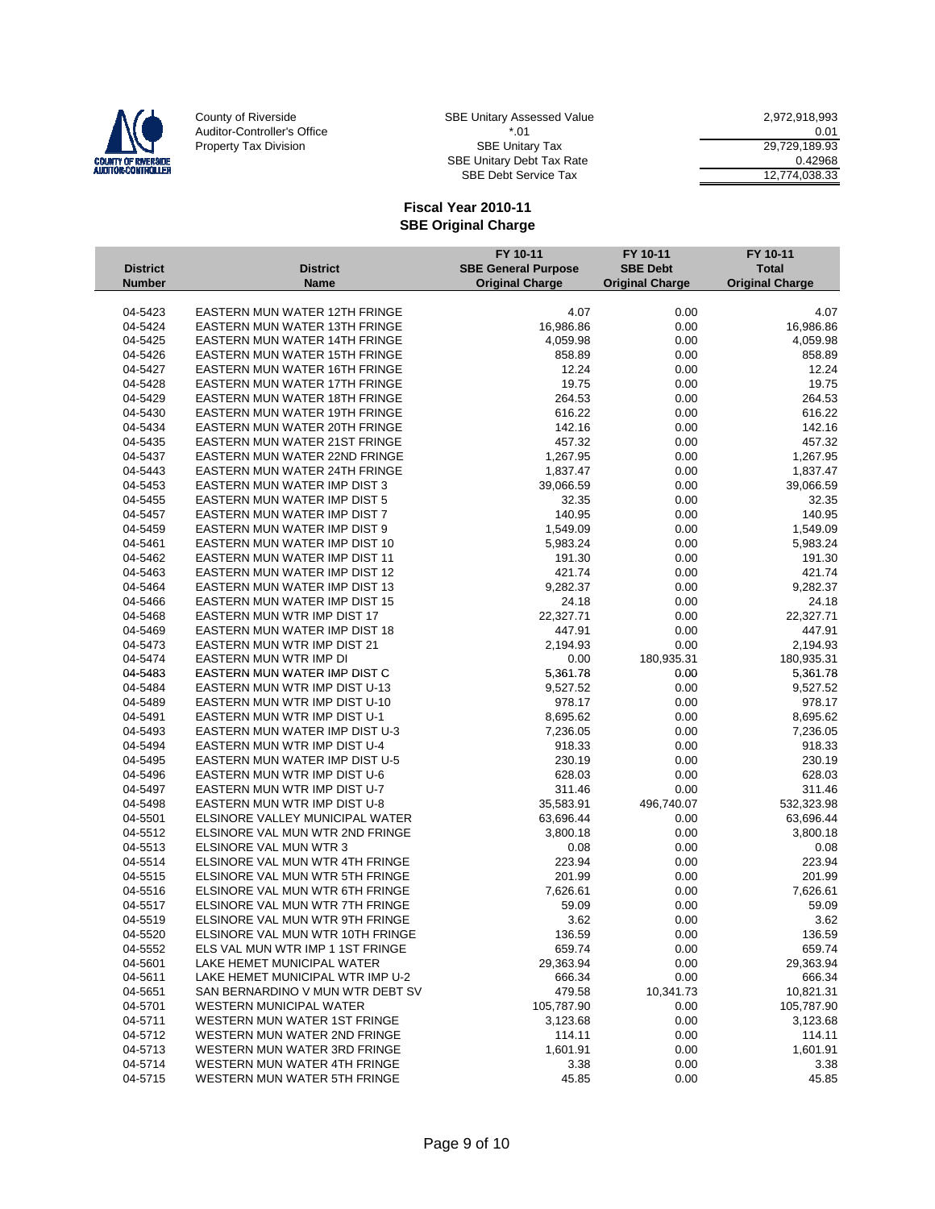

SBE Debt Service Tax 12,774,038.33

|                 |                                      | FY 10-11                   | FY 10-11               | FY 10-11               |
|-----------------|--------------------------------------|----------------------------|------------------------|------------------------|
| <b>District</b> | <b>District</b>                      | <b>SBE General Purpose</b> | <b>SBE Debt</b>        | <b>Total</b>           |
| <b>Number</b>   | <b>Name</b>                          | <b>Original Charge</b>     | <b>Original Charge</b> | <b>Original Charge</b> |
|                 |                                      |                            |                        |                        |
| 04-5423         | <b>EASTERN MUN WATER 12TH FRINGE</b> | 4.07                       | 0.00                   | 4.07                   |
| 04-5424         | <b>EASTERN MUN WATER 13TH FRINGE</b> | 16,986.86                  | 0.00                   | 16,986.86              |
| 04-5425         | <b>EASTERN MUN WATER 14TH FRINGE</b> | 4,059.98                   | 0.00                   | 4,059.98               |
| 04-5426         | <b>EASTERN MUN WATER 15TH FRINGE</b> | 858.89                     | 0.00                   | 858.89                 |
| 04-5427         | <b>EASTERN MUN WATER 16TH FRINGE</b> | 12.24                      | 0.00                   | 12.24                  |
| 04-5428         | EASTERN MUN WATER 17TH FRINGE        | 19.75                      | 0.00                   | 19.75                  |
| 04-5429         | <b>EASTERN MUN WATER 18TH FRINGE</b> | 264.53                     | 0.00                   | 264.53                 |
| 04-5430         | <b>EASTERN MUN WATER 19TH FRINGE</b> | 616.22                     | 0.00                   | 616.22                 |
| 04-5434         | <b>EASTERN MUN WATER 20TH FRINGE</b> | 142.16                     | 0.00                   | 142.16                 |
| 04-5435         | <b>EASTERN MUN WATER 21ST FRINGE</b> | 457.32                     | 0.00                   | 457.32                 |
| 04-5437         | <b>EASTERN MUN WATER 22ND FRINGE</b> | 1,267.95                   | 0.00                   | 1,267.95               |
| 04-5443         | EASTERN MUN WATER 24TH FRINGE        | 1,837.47                   | 0.00                   | 1,837.47               |
| 04-5453         | EASTERN MUN WATER IMP DIST 3         | 39,066.59                  | 0.00                   | 39,066.59              |
| 04-5455         | EASTERN MUN WATER IMP DIST 5         | 32.35                      | 0.00                   | 32.35                  |
| 04-5457         | EASTERN MUN WATER IMP DIST 7         | 140.95                     | 0.00                   | 140.95                 |
| 04-5459         | EASTERN MUN WATER IMP DIST 9         | 1,549.09                   | 0.00                   | 1,549.09               |
| 04-5461         | EASTERN MUN WATER IMP DIST 10        | 5,983.24                   | 0.00                   | 5,983.24               |
| 04-5462         | EASTERN MUN WATER IMP DIST 11        | 191.30                     | 0.00                   | 191.30                 |
| 04-5463         | EASTERN MUN WATER IMP DIST 12        | 421.74                     | 0.00                   | 421.74                 |
| 04-5464         | <b>EASTERN MUN WATER IMP DIST 13</b> | 9,282.37                   | 0.00                   | 9,282.37               |
| 04-5466         | EASTERN MUN WATER IMP DIST 15        | 24.18                      | 0.00                   | 24.18                  |
| 04-5468         | EASTERN MUN WTR IMP DIST 17          | 22,327.71                  | 0.00                   | 22,327.71              |
| 04-5469         | EASTERN MUN WATER IMP DIST 18        | 447.91                     | 0.00                   | 447.91                 |
| 04-5473         | <b>EASTERN MUN WTR IMP DIST 21</b>   | 2,194.93                   | 0.00                   | 2,194.93               |
| 04-5474         | EASTERN MUN WTR IMP DI               | 0.00                       | 180,935.31             | 180,935.31             |
| 04-5483         | EASTERN MUN WATER IMP DIST C         | 5,361.78                   | 0.00                   | 5,361.78               |
| 04-5484         | EASTERN MUN WTR IMP DIST U-13        | 9,527.52                   | 0.00                   | 9,527.52               |
| 04-5489         | EASTERN MUN WTR IMP DIST U-10        | 978.17                     | 0.00                   | 978.17                 |
| 04-5491         | EASTERN MUN WTR IMP DIST U-1         | 8,695.62                   | 0.00                   | 8,695.62               |
| 04-5493         | EASTERN MUN WATER IMP DIST U-3       | 7,236.05                   | 0.00                   | 7,236.05               |
| 04-5494         | EASTERN MUN WTR IMP DIST U-4         | 918.33                     | 0.00                   | 918.33                 |
| 04-5495         | EASTERN MUN WATER IMP DIST U-5       | 230.19                     | 0.00                   | 230.19                 |
| 04-5496         | EASTERN MUN WTR IMP DIST U-6         | 628.03                     | 0.00                   | 628.03                 |
| 04-5497         | EASTERN MUN WTR IMP DIST U-7         | 311.46                     | 0.00                   | 311.46                 |
| 04-5498         | EASTERN MUN WTR IMP DIST U-8         | 35,583.91                  | 496,740.07             | 532,323.98             |
| 04-5501         | ELSINORE VALLEY MUNICIPAL WATER      | 63,696.44                  | 0.00                   | 63,696.44              |
| 04-5512         | ELSINORE VAL MUN WTR 2ND FRINGE      | 3,800.18                   | 0.00                   | 3,800.18               |
| 04-5513         | ELSINORE VAL MUN WTR 3               | 0.08                       | 0.00                   | 0.08                   |
| 04-5514         | ELSINORE VAL MUN WTR 4TH FRINGE      | 223.94                     | 0.00                   | 223.94                 |
| 04-5515         | ELSINORE VAL MUN WTR 5TH FRINGE      | 201.99                     | 0.00                   | 201.99                 |
| 04-5516         | ELSINORE VAL MUN WTR 6TH FRINGE      | 7,626.61                   | 0.00                   | 7,626.61               |
| 04-5517         | ELSINORE VAL MUN WTR 7TH FRINGE      | 59.09                      | 0.00                   | 59.09                  |
| 04-5519         | ELSINORE VAL MUN WTR 9TH FRINGE      | 3.62                       | 0.00                   | 3.62                   |
| 04-5520         | ELSINORE VAL MUN WTR 10TH FRINGE     | 136.59                     | 0.00                   | 136.59                 |
| 04-5552         | ELS VAL MUN WTR IMP 1 1ST FRINGE     | 659.74                     | 0.00                   | 659.74                 |
| 04-5601         | LAKE HEMET MUNICIPAL WATER           | 29,363.94                  | 0.00                   | 29,363.94              |
| 04-5611         | LAKE HEMET MUNICIPAL WTR IMP U-2     | 666.34                     | 0.00                   | 666.34                 |
| 04-5651         | SAN BERNARDINO V MUN WTR DEBT SV     | 479.58                     | 10,341.73              | 10,821.31              |
| 04-5701         | <b>WESTERN MUNICIPAL WATER</b>       | 105,787.90                 | 0.00                   | 105,787.90             |
| 04-5711         | WESTERN MUN WATER 1ST FRINGE         | 3,123.68                   | 0.00                   | 3,123.68               |
| 04-5712         | WESTERN MUN WATER 2ND FRINGE         | 114.11                     | 0.00                   | 114.11                 |
| 04-5713         | WESTERN MUN WATER 3RD FRINGE         | 1,601.91                   | 0.00                   | 1,601.91               |
| 04-5714         | WESTERN MUN WATER 4TH FRINGE         | 3.38                       | 0.00                   | 3.38                   |
| 04-5715         | WESTERN MUN WATER 5TH FRINGE         | 45.85                      | 0.00                   | 45.85                  |
|                 |                                      |                            |                        |                        |